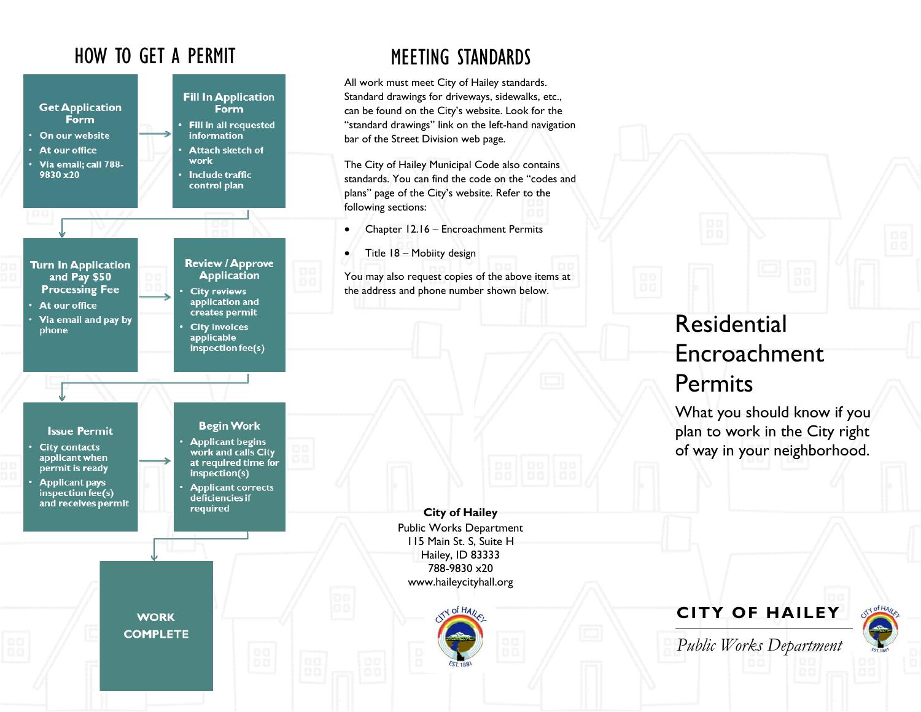## HOW TO GET A PERMIT



## MEETING STANDARDS

All work must meet City of Hailey standards. Standard drawings for driveways, sidewalks, etc., can be found on the City's website. Look for the "standard drawings" link on the left-hand navigation bar of the Street Division web page.

The City of Hailey Municipal Code also contains standards. You can find the code on the "codes and plans" page of the City's website. Refer to the following sections:

- $\bullet$ Chapter 12.16 – Encroachment Permits
- $\bullet$ Title 18 – Mobiity design

You may also request copies of the above items at the address and phone number shown below.

# Residential Encroachment **Permits**

What you should know if you plan to work in the City right of way in your neighborhood.

**City of Hailey**  Public Works Department 115 Main St. S, Suite H Hailey, ID 83333 788-9830 x20 www.haileycityhall.org



**CITY OF HAILEY** 

*Public Works Department*